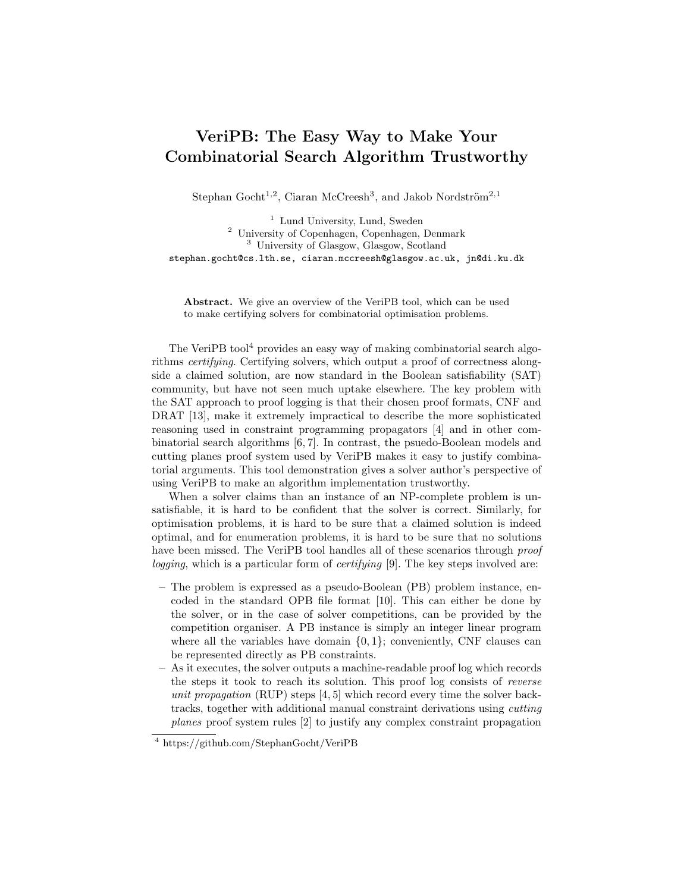## VeriPB: The Easy Way to Make Your Combinatorial Search Algorithm Trustworthy

Stephan Gocht<sup>1,2</sup>, Ciaran McCreesh<sup>3</sup>, and Jakob Nordström<sup>2,1</sup>

<sup>1</sup> Lund University, Lund, Sweden <sup>2</sup> University of Copenhagen, Copenhagen, Denmark <sup>3</sup> University of Glasgow, Glasgow, Scotland stephan.gocht@cs.lth.se, ciaran.mccreesh@glasgow.ac.uk, jn@di.ku.dk

Abstract. We give an overview of the VeriPB tool, which can be used to make certifying solvers for combinatorial optimisation problems.

The VeriPB tool<sup>4</sup> provides an easy way of making combinatorial search algorithms certifying. Certifying solvers, which output a proof of correctness alongside a claimed solution, are now standard in the Boolean satisfiability (SAT) community, but have not seen much uptake elsewhere. The key problem with the SAT approach to proof logging is that their chosen proof formats, CNF and DRAT [13], make it extremely impractical to describe the more sophisticated reasoning used in constraint programming propagators [4] and in other combinatorial search algorithms [6, 7]. In contrast, the psuedo-Boolean models and cutting planes proof system used by VeriPB makes it easy to justify combinatorial arguments. This tool demonstration gives a solver author's perspective of using VeriPB to make an algorithm implementation trustworthy.

When a solver claims than an instance of an NP-complete problem is unsatisfiable, it is hard to be confident that the solver is correct. Similarly, for optimisation problems, it is hard to be sure that a claimed solution is indeed optimal, and for enumeration problems, it is hard to be sure that no solutions have been missed. The VeriPB tool handles all of these scenarios through proof logging, which is a particular form of *certifying* [9]. The key steps involved are:

- The problem is expressed as a pseudo-Boolean (PB) problem instance, encoded in the standard OPB file format [10]. This can either be done by the solver, or in the case of solver competitions, can be provided by the competition organiser. A PB instance is simply an integer linear program where all the variables have domain  $\{0, 1\}$ ; conveniently, CNF clauses can be represented directly as PB constraints.
- As it executes, the solver outputs a machine-readable proof log which records the steps it took to reach its solution. This proof log consists of reverse unit propagation  $(RUP)$  steps [4, 5] which record every time the solver backtracks, together with additional manual constraint derivations using cutting planes proof system rules [2] to justify any complex constraint propagation

<sup>4</sup> https://github.com/StephanGocht/VeriPB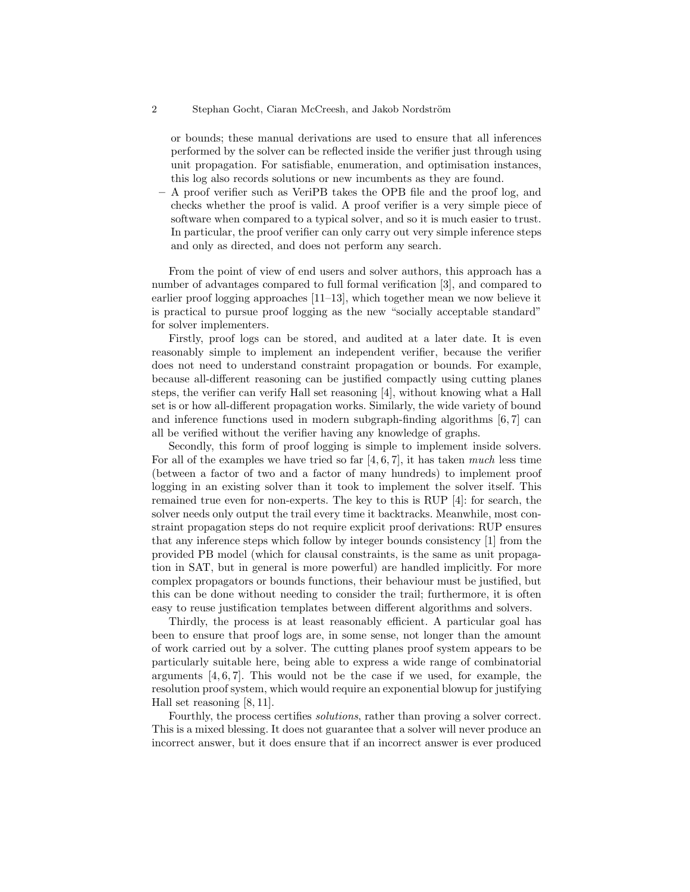## 2 Stephan Gocht, Ciaran McCreesh, and Jakob Nordström

or bounds; these manual derivations are used to ensure that all inferences performed by the solver can be reflected inside the verifier just through using unit propagation. For satisfiable, enumeration, and optimisation instances, this log also records solutions or new incumbents as they are found.

– A proof verifier such as VeriPB takes the OPB file and the proof log, and checks whether the proof is valid. A proof verifier is a very simple piece of software when compared to a typical solver, and so it is much easier to trust. In particular, the proof verifier can only carry out very simple inference steps and only as directed, and does not perform any search.

From the point of view of end users and solver authors, this approach has a number of advantages compared to full formal verification [3], and compared to earlier proof logging approaches [11–13], which together mean we now believe it is practical to pursue proof logging as the new "socially acceptable standard" for solver implementers.

Firstly, proof logs can be stored, and audited at a later date. It is even reasonably simple to implement an independent verifier, because the verifier does not need to understand constraint propagation or bounds. For example, because all-different reasoning can be justified compactly using cutting planes steps, the verifier can verify Hall set reasoning [4], without knowing what a Hall set is or how all-different propagation works. Similarly, the wide variety of bound and inference functions used in modern subgraph-finding algorithms [6, 7] can all be verified without the verifier having any knowledge of graphs.

Secondly, this form of proof logging is simple to implement inside solvers. For all of the examples we have tried so far  $[4, 6, 7]$ , it has taken much less time (between a factor of two and a factor of many hundreds) to implement proof logging in an existing solver than it took to implement the solver itself. This remained true even for non-experts. The key to this is RUP [4]: for search, the solver needs only output the trail every time it backtracks. Meanwhile, most constraint propagation steps do not require explicit proof derivations: RUP ensures that any inference steps which follow by integer bounds consistency [1] from the provided PB model (which for clausal constraints, is the same as unit propagation in SAT, but in general is more powerful) are handled implicitly. For more complex propagators or bounds functions, their behaviour must be justified, but this can be done without needing to consider the trail; furthermore, it is often easy to reuse justification templates between different algorithms and solvers.

Thirdly, the process is at least reasonably efficient. A particular goal has been to ensure that proof logs are, in some sense, not longer than the amount of work carried out by a solver. The cutting planes proof system appears to be particularly suitable here, being able to express a wide range of combinatorial arguments  $[4, 6, 7]$ . This would not be the case if we used, for example, the resolution proof system, which would require an exponential blowup for justifying Hall set reasoning [8, 11].

Fourthly, the process certifies solutions, rather than proving a solver correct. This is a mixed blessing. It does not guarantee that a solver will never produce an incorrect answer, but it does ensure that if an incorrect answer is ever produced